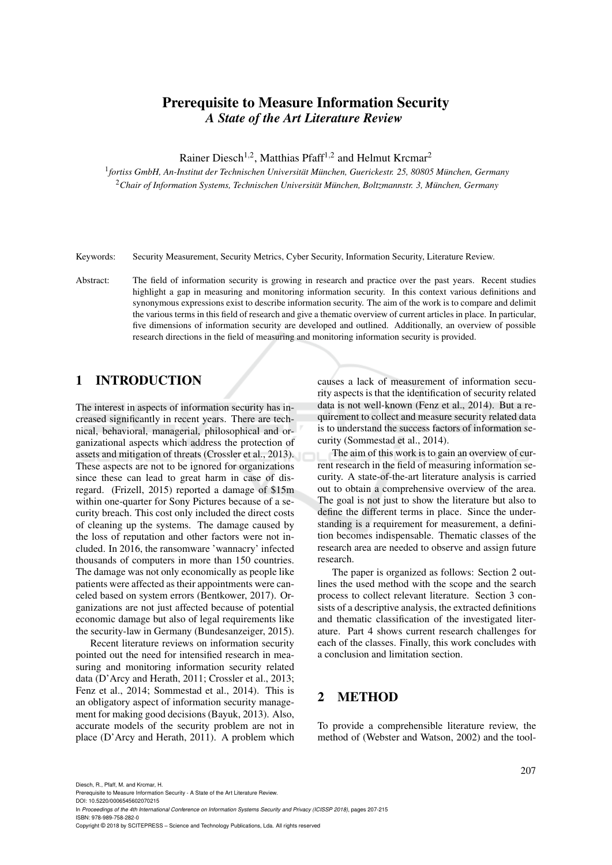# Prerequisite to Measure Information Security *A State of the Art Literature Review*

Rainer Diesch<sup>1,2</sup>, Matthias Pfaff<sup>1,2</sup> and Helmut Krcmar<sup>2</sup>

<sup>1</sup> fortiss GmbH, An-Institut der Technischen Universität München, Guerickestr. 25, 80805 München, Germany <sup>2</sup>*Chair of Information Systems, Technischen Universitat M¨ unchen, Boltzmannstr. 3, M ¨ unchen, Germany ¨*

Keywords: Security Measurement, Security Metrics, Cyber Security, Information Security, Literature Review.

Abstract: The field of information security is growing in research and practice over the past years. Recent studies highlight a gap in measuring and monitoring information security. In this context various definitions and synonymous expressions exist to describe information security. The aim of the work is to compare and delimit the various terms in this field of research and give a thematic overview of current articles in place. In particular, five dimensions of information security are developed and outlined. Additionally, an overview of possible research directions in the field of measuring and monitoring information security is provided.

## 1 INTRODUCTION

The interest in aspects of information security has increased significantly in recent years. There are technical, behavioral, managerial, philosophical and organizational aspects which address the protection of assets and mitigation of threats (Crossler et al., 2013). These aspects are not to be ignored for organizations since these can lead to great harm in case of disregard. (Frizell, 2015) reported a damage of \$15m within one-quarter for Sony Pictures because of a security breach. This cost only included the direct costs of cleaning up the systems. The damage caused by the loss of reputation and other factors were not included. In 2016, the ransomware 'wannacry' infected thousands of computers in more than 150 countries. The damage was not only economically as people like patients were affected as their appointments were canceled based on system errors (Bentkower, 2017). Organizations are not just affected because of potential economic damage but also of legal requirements like the security-law in Germany (Bundesanzeiger, 2015).

Recent literature reviews on information security pointed out the need for intensified research in measuring and monitoring information security related data (D'Arcy and Herath, 2011; Crossler et al., 2013; Fenz et al., 2014; Sommestad et al., 2014). This is an obligatory aspect of information security management for making good decisions (Bayuk, 2013). Also, accurate models of the security problem are not in place (D'Arcy and Herath, 2011). A problem which causes a lack of measurement of information security aspects is that the identification of security related data is not well-known (Fenz et al., 2014). But a requirement to collect and measure security related data is to understand the success factors of information security (Sommestad et al., 2014).

The aim of this work is to gain an overview of current research in the field of measuring information security. A state-of-the-art literature analysis is carried out to obtain a comprehensive overview of the area. The goal is not just to show the literature but also to define the different terms in place. Since the understanding is a requirement for measurement, a definition becomes indispensable. Thematic classes of the research area are needed to observe and assign future research.

The paper is organized as follows: Section 2 outlines the used method with the scope and the search process to collect relevant literature. Section 3 consists of a descriptive analysis, the extracted definitions and thematic classification of the investigated literature. Part 4 shows current research challenges for each of the classes. Finally, this work concludes with a conclusion and limitation section.

## 2 METHOD

To provide a comprehensible literature review, the method of (Webster and Watson, 2002) and the tool-

DOI: 10.5220/0006545602070215

Prerequisite to Measure Information Security - A State of the Art Literature Review.

In *Proceedings of the 4th International Conference on Information Systems Security and Privacy (ICISSP 2018)*, pages 207-215 ISBN: 978-989-758-282-0

Copyright © 2018 by SCITEPRESS – Science and Technology Publications, Lda. All rights reserved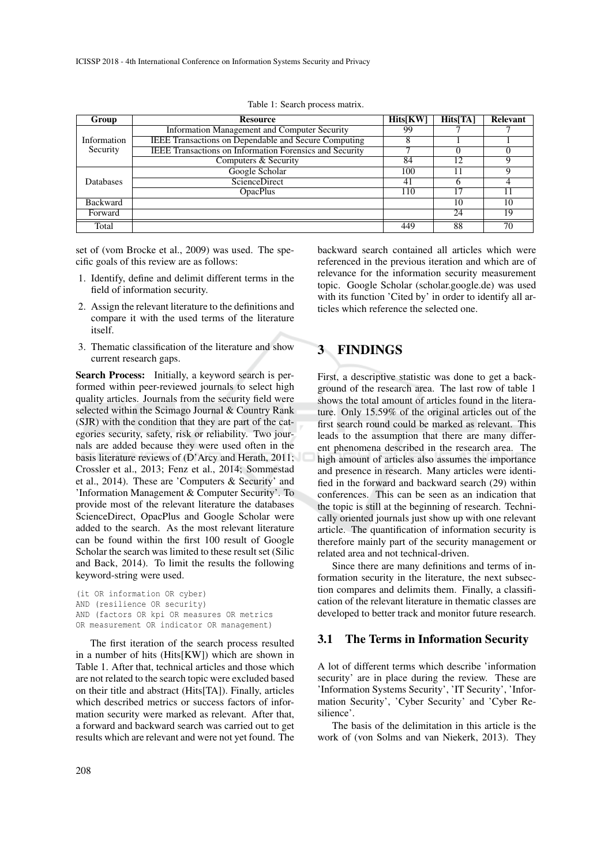| Group                   | <b>Resource</b>                                                | Hits[KW] | Hist[TA] | Relevant |
|-------------------------|----------------------------------------------------------------|----------|----------|----------|
| Information<br>Security | Information Management and Computer Security                   | 99       |          |          |
|                         | <b>IEEE Transactions on Dependable and Secure Computing</b>    | 8        |          |          |
|                         | <b>IEEE</b> Transactions on Information Forensics and Security |          |          |          |
|                         | Computers & Security                                           | 84       | 12       | Q        |
| <b>Databases</b>        | Google Scholar                                                 | 100      | 11       | Q        |
|                         | <b>ScienceDirect</b>                                           | 41       |          |          |
|                         | <b>OpacPlus</b>                                                | 110      | 17       |          |
| <b>Backward</b>         |                                                                |          | 10       | 10       |
| Forward                 |                                                                |          | 24       | 19       |
| Total                   |                                                                | 449      | 88       | 70       |

Table 1: Search process matrix.

set of (vom Brocke et al., 2009) was used. The specific goals of this review are as follows:

- 1. Identify, define and delimit different terms in the field of information security.
- 2. Assign the relevant literature to the definitions and compare it with the used terms of the literature itself.
- 3. Thematic classification of the literature and show current research gaps.

Search Process: Initially, a keyword search is performed within peer-reviewed journals to select high quality articles. Journals from the security field were selected within the Scimago Journal & Country Rank (SJR) with the condition that they are part of the categories security, safety, risk or reliability. Two journals are added because they were used often in the basis literature reviews of (D'Arcy and Herath, 2011; Crossler et al., 2013; Fenz et al., 2014; Sommestad et al., 2014). These are 'Computers & Security' and 'Information Management & Computer Security'. To provide most of the relevant literature the databases ScienceDirect, OpacPlus and Google Scholar were added to the search. As the most relevant literature can be found within the first 100 result of Google Scholar the search was limited to these result set (Silic and Back, 2014). To limit the results the following keyword-string were used.

```
(it OR information OR cyber)
AND (resilience OR security)
AND (factors OR kpi OR measures OR metrics
OR measurement OR indicator OR management)
```
The first iteration of the search process resulted in a number of hits (Hits[KW]) which are shown in Table 1. After that, technical articles and those which are not related to the search topic were excluded based on their title and abstract (Hits[TA]). Finally, articles which described metrics or success factors of information security were marked as relevant. After that, a forward and backward search was carried out to get results which are relevant and were not yet found. The backward search contained all articles which were referenced in the previous iteration and which are of relevance for the information security measurement topic. Google Scholar (scholar.google.de) was used with its function 'Cited by' in order to identify all articles which reference the selected one.

## 3 FINDINGS

First, a descriptive statistic was done to get a background of the research area. The last row of table 1 shows the total amount of articles found in the literature. Only 15.59% of the original articles out of the first search round could be marked as relevant. This leads to the assumption that there are many different phenomena described in the research area. The high amount of articles also assumes the importance and presence in research. Many articles were identified in the forward and backward search (29) within conferences. This can be seen as an indication that the topic is still at the beginning of research. Technically oriented journals just show up with one relevant article. The quantification of information security is therefore mainly part of the security management or related area and not technical-driven.

Since there are many definitions and terms of information security in the literature, the next subsection compares and delimits them. Finally, a classification of the relevant literature in thematic classes are developed to better track and monitor future research.

### 3.1 The Terms in Information Security

A lot of different terms which describe 'information security' are in place during the review. These are 'Information Systems Security', 'IT Security', 'Information Security', 'Cyber Security' and 'Cyber Resilience'.

The basis of the delimitation in this article is the work of (von Solms and van Niekerk, 2013). They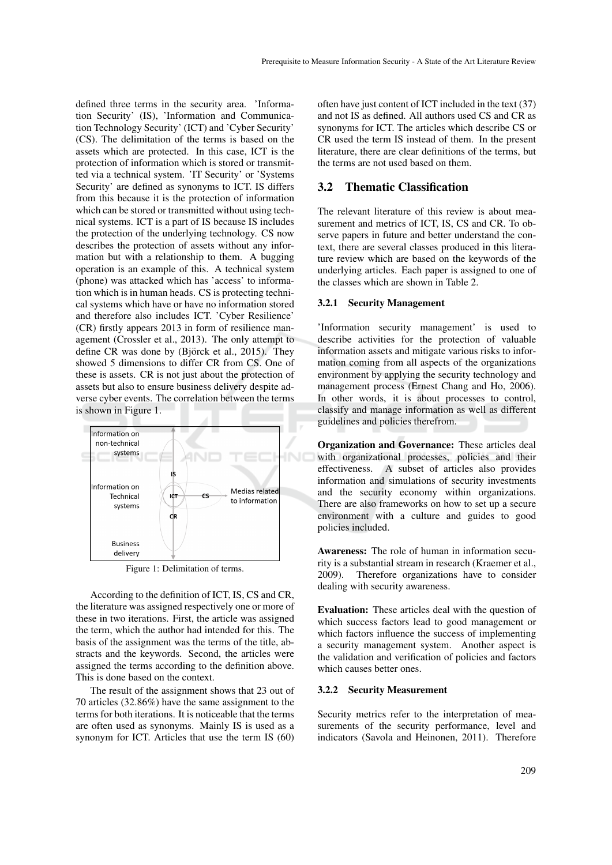defined three terms in the security area. 'Information Security' (IS), 'Information and Communication Technology Security' (ICT) and 'Cyber Security' (CS). The delimitation of the terms is based on the assets which are protected. In this case, ICT is the protection of information which is stored or transmitted via a technical system. 'IT Security' or 'Systems Security' are defined as synonyms to ICT. IS differs from this because it is the protection of information which can be stored or transmitted without using technical systems. ICT is a part of IS because IS includes the protection of the underlying technology. CS now describes the protection of assets without any information but with a relationship to them. A bugging operation is an example of this. A technical system (phone) was attacked which has 'access' to information which is in human heads. CS is protecting technical systems which have or have no information stored and therefore also includes ICT. 'Cyber Resilience' (CR) firstly appears 2013 in form of resilience management (Crossler et al., 2013). The only attempt to define CR was done by  $(Bj$  orck et al., 2015). They showed 5 dimensions to differ CR from CS. One of these is assets. CR is not just about the protection of assets but also to ensure business delivery despite adverse cyber events. The correlation between the terms is shown in Figure 1.



Figure 1: Delimitation of terms.

According to the definition of ICT, IS, CS and CR, the literature was assigned respectively one or more of these in two iterations. First, the article was assigned the term, which the author had intended for this. The basis of the assignment was the terms of the title, abstracts and the keywords. Second, the articles were assigned the terms according to the definition above. This is done based on the context.

The result of the assignment shows that 23 out of 70 articles (32.86%) have the same assignment to the terms for both iterations. It is noticeable that the terms are often used as synonyms. Mainly IS is used as a synonym for ICT. Articles that use the term IS (60) often have just content of ICT included in the text (37) and not IS as defined. All authors used CS and CR as synonyms for ICT. The articles which describe CS or CR used the term IS instead of them. In the present literature, there are clear definitions of the terms, but the terms are not used based on them.

## 3.2 Thematic Classification

The relevant literature of this review is about measurement and metrics of ICT, IS, CS and CR. To observe papers in future and better understand the context, there are several classes produced in this literature review which are based on the keywords of the underlying articles. Each paper is assigned to one of the classes which are shown in Table 2.

#### 3.2.1 Security Management

'Information security management' is used to describe activities for the protection of valuable information assets and mitigate various risks to information coming from all aspects of the organizations environment by applying the security technology and management process (Ernest Chang and Ho, 2006). In other words, it is about processes to control, classify and manage information as well as different guidelines and policies therefrom.

Organization and Governance: These articles deal with organizational processes, policies and their effectiveness. A subset of articles also provides information and simulations of security investments and the security economy within organizations. There are also frameworks on how to set up a secure environment with a culture and guides to good policies included.

Awareness: The role of human in information security is a substantial stream in research (Kraemer et al., 2009). Therefore organizations have to consider dealing with security awareness.

Evaluation: These articles deal with the question of which success factors lead to good management or which factors influence the success of implementing a security management system. Another aspect is the validation and verification of policies and factors which causes better ones.

#### 3.2.2 Security Measurement

Security metrics refer to the interpretation of measurements of the security performance, level and indicators (Savola and Heinonen, 2011). Therefore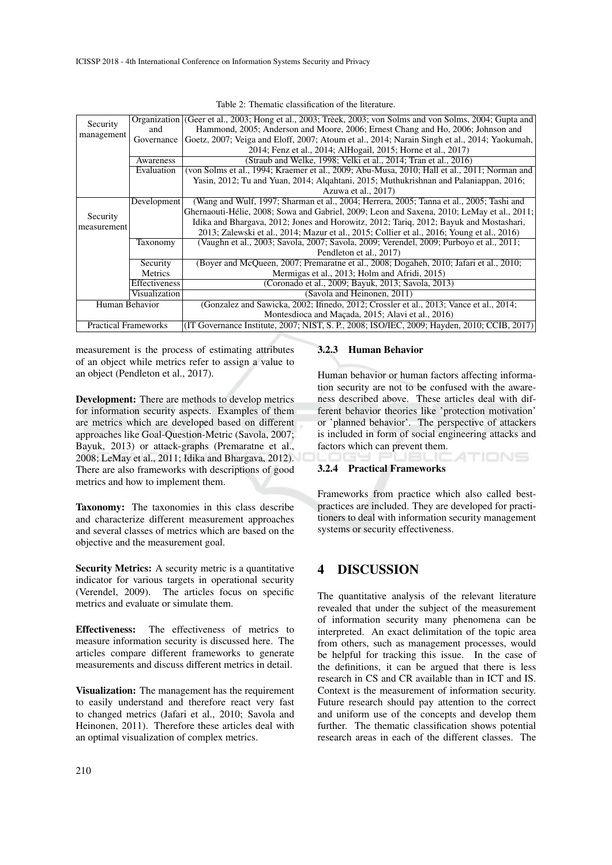| Security                    |               | Organization (Geer et al., 2003; Hong et al., 2003; Trèek, 2003; von Solms and von Solms, 2004; Gupta and |
|-----------------------------|---------------|-----------------------------------------------------------------------------------------------------------|
| management                  | and           | Hammond, 2005; Anderson and Moore, 2006; Ernest Chang and Ho, 2006; Johnson and                           |
|                             | Governance    | Goetz, 2007; Veiga and Eloff, 2007; Atoum et al., 2014; Narain Singh et al., 2014; Yaokumah,              |
|                             |               | 2014; Fenz et al., 2014; AlHogail, 2015; Horne et al., 2017)                                              |
|                             | Awareness     | (Straub and Welke, 1998; Velki et al., 2014; Tran et al., 2016)                                           |
|                             | Evaluation    | (von Solms et al., 1994; Kraemer et al., 2009; Abu-Musa, 2010; Hall et al., 2011; Norman and              |
|                             |               | Yasin, 2012; Tu and Yuan, 2014; Alqahtani, 2015; Muthukrishnan and Palaniappan, 2016;                     |
|                             |               | Azuwa et al., 2017)                                                                                       |
| Security<br>measurement     | Development   | (Wang and Wulf, 1997; Sharman et al., 2004; Herrera, 2005; Tanna et al., 2005; Tashi and                  |
|                             |               | Ghernaouti-Hélie, 2008; Sowa and Gabriel, 2009; Leon and Saxena, 2010; LeMay et al., 2011;                |
|                             |               | Idika and Bhargava, 2012; Jones and Horowitz, 2012; Tariq, 2012; Bayuk and Mostashari,                    |
|                             |               | 2013; Zalewski et al., 2014; Mazur et al., 2015; Collier et al., 2016; Young et al., 2016)                |
|                             | Taxonomy      | (Vaughn et al., 2003; Savola, 2007; Savola, 2009; Verendel, 2009; Purboyo et al., 2011;                   |
|                             |               | Pendleton et al., 2017)                                                                                   |
|                             | Security      | (Boyer and McQueen, 2007; Premaratne et al., 2008; Dogaheh, 2010; Jafari et al., 2010;                    |
|                             | Metrics       | Mermigas et al., 2013; Holm and Afridi, 2015)                                                             |
|                             | Effectiveness | (Coronado et al., 2009; Bayuk, 2013; Savola, 2013)                                                        |
|                             | Visualization | (Savola and Heinonen, 2011)                                                                               |
| Human Behavior              |               | (Gonzalez and Sawicka, 2002; Ifinedo, 2012; Crossler et al., 2013; Vance et al., 2014;                    |
|                             |               | Montesdioca and Macada, 2015; Alavi et al., 2016)                                                         |
| <b>Practical Frameworks</b> |               | (IT Governance Institute, 2007; NIST, S. P., 2008; ISO/IEC, 2009; Hayden, 2010; CCIB, 2017)               |

Table 2: Thematic classification of the literature.

measurement is the process of estimating attributes of an object while metrics refer to assign a value to an object (Pendleton et al., 2017).

Development: There are methods to develop metrics for information security aspects. Examples of them are metrics which are developed based on different approaches like Goal-Question-Metric (Savola, 2007; Bayuk, 2013) or attack-graphs (Premaratne et al., 2008; LeMay et al., 2011; Idika and Bhargava, 2012). There are also frameworks with descriptions of good metrics and how to implement them.

Taxonomy: The taxonomies in this class describe and characterize different measurement approaches and several classes of metrics which are based on the objective and the measurement goal.

Security Metrics: A security metric is a quantitative indicator for various targets in operational security (Verendel, 2009). The articles focus on specific metrics and evaluate or simulate them.

Effectiveness: The effectiveness of metrics to measure information security is discussed here. The articles compare different frameworks to generate measurements and discuss different metrics in detail.

Visualization: The management has the requirement to easily understand and therefore react very fast to changed metrics (Jafari et al., 2010; Savola and Heinonen, 2011). Therefore these articles deal with an optimal visualization of complex metrics.

#### 3.2.3 Human Behavior

Human behavior or human factors affecting information security are not to be confused with the awareness described above. These articles deal with different behavior theories like 'protection motivation' or 'planned behavior'. The perspective of attackers is included in form of social engineering attacks and factors which can prevent them. TIONS

#### 3.2.4 Practical Frameworks

Frameworks from practice which also called bestpractices are included. They are developed for practitioners to deal with information security management systems or security effectiveness.

## 4 DISCUSSION

The quantitative analysis of the relevant literature revealed that under the subject of the measurement of information security many phenomena can be interpreted. An exact delimitation of the topic area from others, such as management processes, would be helpful for tracking this issue. In the case of the definitions, it can be argued that there is less research in CS and CR available than in ICT and IS. Context is the measurement of information security. Future research should pay attention to the correct and uniform use of the concepts and develop them further. The thematic classification shows potential research areas in each of the different classes. The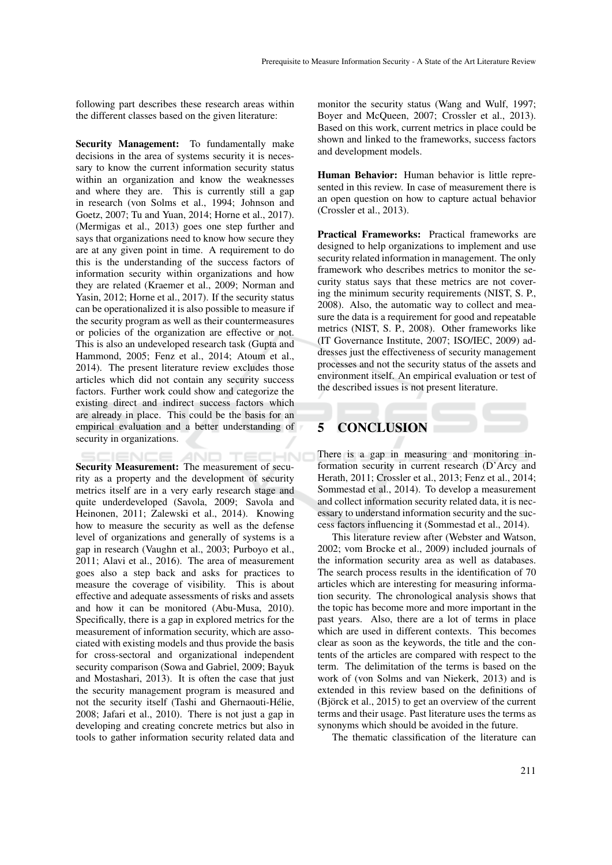following part describes these research areas within the different classes based on the given literature:

Security Management: To fundamentally make decisions in the area of systems security it is necessary to know the current information security status within an organization and know the weaknesses and where they are. This is currently still a gap in research (von Solms et al., 1994; Johnson and Goetz, 2007; Tu and Yuan, 2014; Horne et al., 2017). (Mermigas et al., 2013) goes one step further and says that organizations need to know how secure they are at any given point in time. A requirement to do this is the understanding of the success factors of information security within organizations and how they are related (Kraemer et al., 2009; Norman and Yasin, 2012; Horne et al., 2017). If the security status can be operationalized it is also possible to measure if the security program as well as their countermeasures or policies of the organization are effective or not. This is also an undeveloped research task (Gupta and Hammond, 2005; Fenz et al., 2014; Atoum et al., 2014). The present literature review excludes those articles which did not contain any security success factors. Further work could show and categorize the existing direct and indirect success factors which are already in place. This could be the basis for an empirical evaluation and a better understanding of security in organizations.

HNC AND TED Security Measurement: The measurement of security as a property and the development of security metrics itself are in a very early research stage and quite underdeveloped (Savola, 2009; Savola and Heinonen, 2011; Zalewski et al., 2014). Knowing how to measure the security as well as the defense level of organizations and generally of systems is a gap in research (Vaughn et al., 2003; Purboyo et al., 2011; Alavi et al., 2016). The area of measurement goes also a step back and asks for practices to measure the coverage of visibility. This is about effective and adequate assessments of risks and assets and how it can be monitored (Abu-Musa, 2010). Specifically, there is a gap in explored metrics for the measurement of information security, which are associated with existing models and thus provide the basis for cross-sectoral and organizational independent security comparison (Sowa and Gabriel, 2009; Bayuk and Mostashari, 2013). It is often the case that just the security management program is measured and not the security itself (Tashi and Ghernaouti-Helie, ´ 2008; Jafari et al., 2010). There is not just a gap in developing and creating concrete metrics but also in tools to gather information security related data and

monitor the security status (Wang and Wulf, 1997; Boyer and McQueen, 2007; Crossler et al., 2013). Based on this work, current metrics in place could be shown and linked to the frameworks, success factors and development models.

Human Behavior: Human behavior is little represented in this review. In case of measurement there is an open question on how to capture actual behavior (Crossler et al., 2013).

Practical Frameworks: Practical frameworks are designed to help organizations to implement and use security related information in management. The only framework who describes metrics to monitor the security status says that these metrics are not covering the minimum security requirements (NIST, S. P., 2008). Also, the automatic way to collect and measure the data is a requirement for good and repeatable metrics (NIST, S. P., 2008). Other frameworks like (IT Governance Institute, 2007; ISO/IEC, 2009) addresses just the effectiveness of security management processes and not the security status of the assets and environment itself. An empirical evaluation or test of the described issues is not present literature.

# 5 CONCLUSION

There is a gap in measuring and monitoring information security in current research (D'Arcy and Herath, 2011; Crossler et al., 2013; Fenz et al., 2014; Sommestad et al., 2014). To develop a measurement and collect information security related data, it is necessary to understand information security and the success factors influencing it (Sommestad et al., 2014).

This literature review after (Webster and Watson, 2002; vom Brocke et al., 2009) included journals of the information security area as well as databases. The search process results in the identification of 70 articles which are interesting for measuring information security. The chronological analysis shows that the topic has become more and more important in the past years. Also, there are a lot of terms in place which are used in different contexts. This becomes clear as soon as the keywords, the title and the contents of the articles are compared with respect to the term. The delimitation of the terms is based on the work of (von Solms and van Niekerk, 2013) and is extended in this review based on the definitions of  $(Bj$  orck et al., 2015) to get an overview of the current terms and their usage. Past literature uses the terms as synonyms which should be avoided in the future.

The thematic classification of the literature can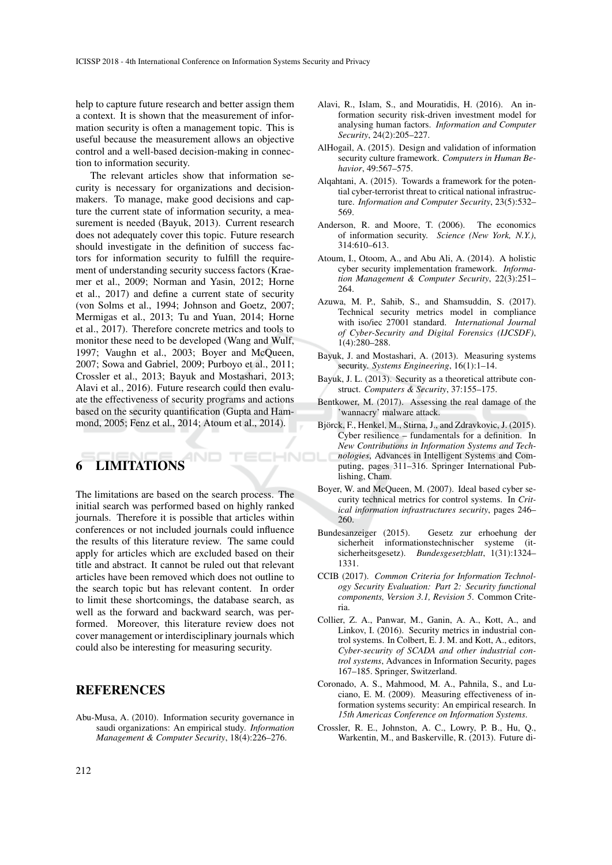help to capture future research and better assign them a context. It is shown that the measurement of information security is often a management topic. This is useful because the measurement allows an objective control and a well-based decision-making in connection to information security.

The relevant articles show that information security is necessary for organizations and decisionmakers. To manage, make good decisions and capture the current state of information security, a measurement is needed (Bayuk, 2013). Current research does not adequately cover this topic. Future research should investigate in the definition of success factors for information security to fulfill the requirement of understanding security success factors (Kraemer et al., 2009; Norman and Yasin, 2012; Horne et al., 2017) and define a current state of security (von Solms et al., 1994; Johnson and Goetz, 2007; Mermigas et al., 2013; Tu and Yuan, 2014; Horne et al., 2017). Therefore concrete metrics and tools to monitor these need to be developed (Wang and Wulf, 1997; Vaughn et al., 2003; Boyer and McQueen, 2007; Sowa and Gabriel, 2009; Purboyo et al., 2011; Crossler et al., 2013; Bayuk and Mostashari, 2013; Alavi et al., 2016). Future research could then evaluate the effectiveness of security programs and actions based on the security quantification (Gupta and Hammond, 2005; Fenz et al., 2014; Atoum et al., 2014).

# 6 LIMITATIONS

The limitations are based on the search process. The initial search was performed based on highly ranked journals. Therefore it is possible that articles within conferences or not included journals could influence the results of this literature review. The same could apply for articles which are excluded based on their title and abstract. It cannot be ruled out that relevant articles have been removed which does not outline to the search topic but has relevant content. In order to limit these shortcomings, the database search, as well as the forward and backward search, was performed. Moreover, this literature review does not cover management or interdisciplinary journals which could also be interesting for measuring security.

## **REFERENCES**

Abu-Musa, A. (2010). Information security governance in saudi organizations: An empirical study. *Information Management & Computer Security*, 18(4):226–276.

- Alavi, R., Islam, S., and Mouratidis, H. (2016). An information security risk-driven investment model for analysing human factors. *Information and Computer Security*, 24(2):205–227.
- AlHogail, A. (2015). Design and validation of information security culture framework. *Computers in Human Behavior*, 49:567–575.
- Alqahtani, A. (2015). Towards a framework for the potential cyber-terrorist threat to critical national infrastructure. *Information and Computer Security*, 23(5):532– 569.
- Anderson, R. and Moore, T. (2006). The economics of information security. *Science (New York, N.Y.)*, 314:610–613.
- Atoum, I., Otoom, A., and Abu Ali, A. (2014). A holistic cyber security implementation framework. *Information Management & Computer Security*, 22(3):251– 264.
- Azuwa, M. P., Sahib, S., and Shamsuddin, S. (2017). Technical security metrics model in compliance with iso/iec 27001 standard. *International Journal of Cyber-Security and Digital Forensics (IJCSDF)*, 1(4):280–288.
- Bayuk, J. and Mostashari, A. (2013). Measuring systems security. *Systems Engineering*, 16(1):1–14.
- Bayuk, J. L. (2013). Security as a theoretical attribute construct. *Computers & Security*, 37:155–175.
- Bentkower, M. (2017). Assessing the real damage of the 'wannacry' malware attack.
- Björck, F., Henkel, M., Stirna, J., and Zdravkovic, J. (2015). Cyber resilience – fundamentals for a definition. In *New Contributions in Information Systems and Tech-*HNOl *nologies*, Advances in Intelligent Systems and Computing, pages 311–316. Springer International Publishing, Cham.
	- Boyer, W. and McQueen, M. (2007). Ideal based cyber security technical metrics for control systems. In *Critical information infrastructures security*, pages 246– 260.
	- Bundesanzeiger (2015). Gesetz zur erhoehung der sicherheit informationstechnischer systeme (itsicherheitsgesetz). *Bundesgesetzblatt*, 1(31):1324– 1331.
	- CCIB (2017). *Common Criteria for Information Technology Security Evaluation: Part 2: Security functional components, Version 3.1, Revision 5*. Common Criteria.
	- Collier, Z. A., Panwar, M., Ganin, A. A., Kott, A., and Linkov, I. (2016). Security metrics in industrial control systems. In Colbert, E. J. M. and Kott, A., editors, *Cyber-security of SCADA and other industrial control systems*, Advances in Information Security, pages 167–185. Springer, Switzerland.
	- Coronado, A. S., Mahmood, M. A., Pahnila, S., and Luciano, E. M. (2009). Measuring effectiveness of information systems security: An empirical research. In *15th Americas Conference on Information Systems*.
	- Crossler, R. E., Johnston, A. C., Lowry, P. B., Hu, Q., Warkentin, M., and Baskerville, R. (2013). Future di-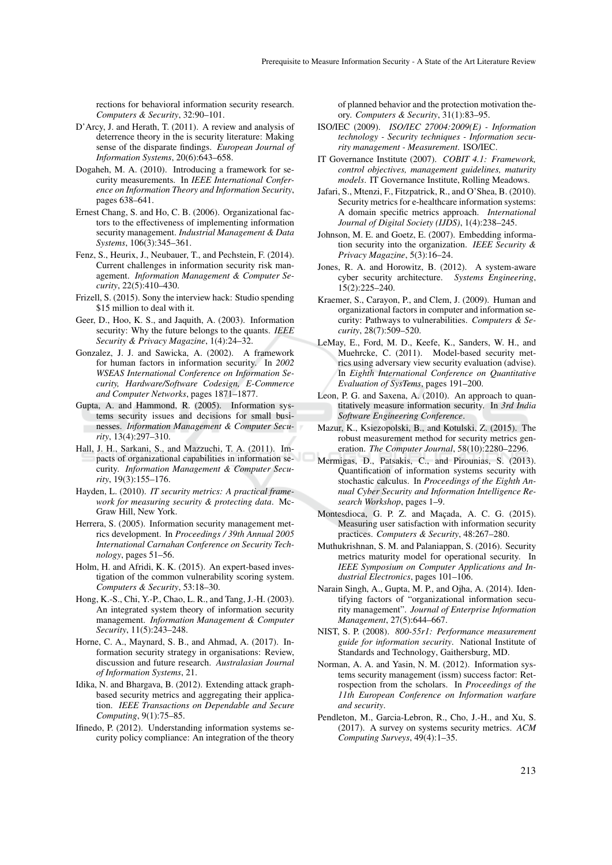rections for behavioral information security research. *Computers & Security*, 32:90–101.

- D'Arcy, J. and Herath, T. (2011). A review and analysis of deterrence theory in the is security literature: Making sense of the disparate findings. *European Journal of Information Systems*, 20(6):643–658.
- Dogaheh, M. A. (2010). Introducing a framework for security measurements. In *IEEE International Conference on Information Theory and Information Security*, pages 638–641.
- Ernest Chang, S. and Ho, C. B. (2006). Organizational factors to the effectiveness of implementing information security management. *Industrial Management & Data Systems*, 106(3):345–361.
- Fenz, S., Heurix, J., Neubauer, T., and Pechstein, F. (2014). Current challenges in information security risk management. *Information Management & Computer Security*, 22(5):410–430.
- Frizell, S. (2015). Sony the interview hack: Studio spending \$15 million to deal with it.
- Geer, D., Hoo, K. S., and Jaquith, A. (2003). Information security: Why the future belongs to the quants. *IEEE Security & Privacy Magazine*, 1(4):24–32.
- Gonzalez, J. J. and Sawicka, A. (2002). A framework for human factors in information security. In *2002 WSEAS International Conference on Information Security, Hardware/Software Codesign, E-Commerce and Computer Networks*, pages 1871–1877.
- Gupta, A. and Hammond, R. (2005). Information systems security issues and decisions for small businesses. *Information Management & Computer Security*, 13(4):297–310.
- Hall, J. H., Sarkani, S., and Mazzuchi, T. A. (2011). Impacts of organizational capabilities in information security. *Information Management & Computer Security*, 19(3):155–176.
- Hayden, L. (2010). *IT security metrics: A practical framework for measuring security & protecting data*. Mc-Graw Hill, New York.
- Herrera, S. (2005). Information security management metrics development. In *Proceedings / 39th Annual 2005 International Carnahan Conference on Security Technology*, pages 51–56.
- Holm, H. and Afridi, K. K. (2015). An expert-based investigation of the common vulnerability scoring system. *Computers & Security*, 53:18–30.
- Hong, K.-S., Chi, Y.-P., Chao, L. R., and Tang, J.-H. (2003). An integrated system theory of information security management. *Information Management & Computer Security*, 11(5):243–248.
- Horne, C. A., Maynard, S. B., and Ahmad, A. (2017). Information security strategy in organisations: Review, discussion and future research. *Australasian Journal of Information Systems*, 21.
- Idika, N. and Bhargava, B. (2012). Extending attack graphbased security metrics and aggregating their application. *IEEE Transactions on Dependable and Secure Computing*, 9(1):75–85.
- Ifinedo, P. (2012). Understanding information systems security policy compliance: An integration of the theory

of planned behavior and the protection motivation theory. *Computers & Security*, 31(1):83–95.

- ISO/IEC (2009). *ISO/IEC 27004:2009(E) Information technology - Security techniques - Information security management - Measurement*. ISO/IEC.
- IT Governance Institute (2007). *COBIT 4.1: Framework, control objectives, management guidelines, maturity models*. IT Governance Institute, Rolling Meadows.
- Jafari, S., Mtenzi, F., Fitzpatrick, R., and O'Shea, B. (2010). Security metrics for e-healthcare information systems: A domain specific metrics approach. *International Journal of Digital Society (IJDS)*, 1(4):238–245.
- Johnson, M. E. and Goetz, E. (2007). Embedding information security into the organization. *IEEE Security & Privacy Magazine*, 5(3):16–24.
- Jones, R. A. and Horowitz, B. (2012). A system-aware cyber security architecture. *Systems Engineering*, 15(2):225–240.
- Kraemer, S., Carayon, P., and Clem, J. (2009). Human and organizational factors in computer and information security: Pathways to vulnerabilities. *Computers & Security*, 28(7):509–520.
- LeMay, E., Ford, M. D., Keefe, K., Sanders, W. H., and Muehrcke, C. (2011). Model-based security metrics using adversary view security evaluation (advise). In *Eighth International Conference on Quantitative Evaluation of SysTems*, pages 191–200.
- Leon, P. G. and Saxena, A. (2010). An approach to quantitatively measure information security. In *3rd India Software Engineering Conference*.
- Mazur, K., Ksiezopolski, B., and Kotulski, Z. (2015). The robust measurement method for security metrics generation. *The Computer Journal*, 58(10):2280–2296.
- Mermigas, D., Patsakis, C., and Pirounias, S. (2013). Quantification of information systems security with stochastic calculus. In *Proceedings of the Eighth Annual Cyber Security and Information Intelligence Research Workshop*, pages 1–9.
- Montesdioca, G. P. Z. and Maçada, A. C. G. (2015). Measuring user satisfaction with information security practices. *Computers & Security*, 48:267–280.
- Muthukrishnan, S. M. and Palaniappan, S. (2016). Security metrics maturity model for operational security. In *IEEE Symposium on Computer Applications and Industrial Electronics*, pages 101–106.
- Narain Singh, A., Gupta, M. P., and Ojha, A. (2014). Identifying factors of "organizational information security management". *Journal of Enterprise Information Management*, 27(5):644–667.
- NIST, S. P. (2008). *800-55r1: Performance measurement guide for information security*. National Institute of Standards and Technology, Gaithersburg, MD.
- Norman, A. A. and Yasin, N. M. (2012). Information systems security management (issm) success factor: Retrospection from the scholars. In *Proceedings of the 11th European Conference on Information warfare and security*.
- Pendleton, M., Garcia-Lebron, R., Cho, J.-H., and Xu, S. (2017). A survey on systems security metrics. *ACM Computing Surveys*, 49(4):1–35.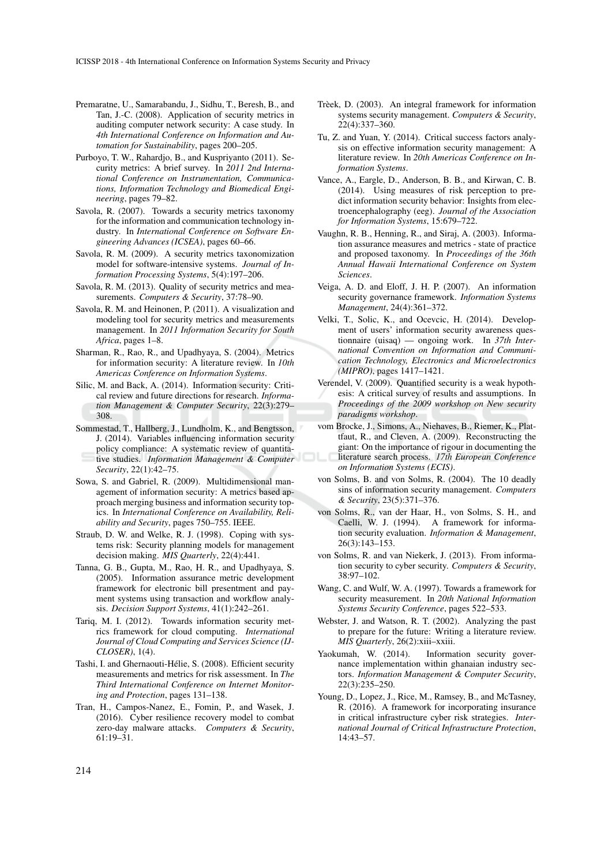- Premaratne, U., Samarabandu, J., Sidhu, T., Beresh, B., and Tan, J.-C. (2008). Application of security metrics in auditing computer network security: A case study. In *4th International Conference on Information and Automation for Sustainability*, pages 200–205.
- Purboyo, T. W., Rahardjo, B., and Kuspriyanto (2011). Security metrics: A brief survey. In *2011 2nd International Conference on Instrumentation, Communications, Information Technology and Biomedical Engineering*, pages 79–82.
- Savola, R. (2007). Towards a security metrics taxonomy for the information and communication technology industry. In *International Conference on Software Engineering Advances (ICSEA)*, pages 60–66.
- Savola, R. M. (2009). A security metrics taxonomization model for software-intensive systems. *Journal of Information Processing Systems*, 5(4):197–206.
- Savola, R. M. (2013). Quality of security metrics and measurements. *Computers & Security*, 37:78–90.
- Savola, R. M. and Heinonen, P. (2011). A visualization and modeling tool for security metrics and measurements management. In *2011 Information Security for South Africa*, pages 1–8.
- Sharman, R., Rao, R., and Upadhyaya, S. (2004). Metrics for information security: A literature review. In *10th Americas Conference on Information Systems*.
- Silic, M. and Back, A. (2014). Information security: Critical review and future directions for research. *Information Management & Computer Security*, 22(3):279– 308.
- Sommestad, T., Hallberg, J., Lundholm, K., and Bengtsson, J. (2014). Variables influencing information security policy compliance: A systematic review of quantitative studies. *Information Management & Computer Security*, 22(1):42–75.
- Sowa, S. and Gabriel, R. (2009). Multidimensional management of information security: A metrics based approach merging business and information security topics. In *International Conference on Availability, Reliability and Security*, pages 750–755. IEEE.
- Straub, D. W. and Welke, R. J. (1998). Coping with systems risk: Security planning models for management decision making. *MIS Quarterly*, 22(4):441.
- Tanna, G. B., Gupta, M., Rao, H. R., and Upadhyaya, S. (2005). Information assurance metric development framework for electronic bill presentment and payment systems using transaction and workflow analysis. *Decision Support Systems*, 41(1):242–261.
- Tariq, M. I. (2012). Towards information security metrics framework for cloud computing. *International Journal of Cloud Computing and Services Science (IJ-CLOSER)*, 1(4).
- Tashi, I. and Ghernaouti-Helie, S. (2008). Efficient security ´ measurements and metrics for risk assessment. In *The Third International Conference on Internet Monitoring and Protection*, pages 131–138.
- Tran, H., Campos-Nanez, E., Fomin, P., and Wasek, J. (2016). Cyber resilience recovery model to combat zero-day malware attacks. *Computers & Security*, 61:19–31.
- Trèek, D. (2003). An integral framework for information systems security management. *Computers & Security*, 22(4):337–360.
- Tu, Z. and Yuan, Y. (2014). Critical success factors analysis on effective information security management: A literature review. In *20th Americas Conference on Information Systems*.
- Vance, A., Eargle, D., Anderson, B. B., and Kirwan, C. B. (2014). Using measures of risk perception to predict information security behavior: Insights from electroencephalography (eeg). *Journal of the Association for Information Systems*, 15:679–722.
- Vaughn, R. B., Henning, R., and Siraj, A. (2003). Information assurance measures and metrics - state of practice and proposed taxonomy. In *Proceedings of the 36th Annual Hawaii International Conference on System Sciences*.
- Veiga, A. D. and Eloff, J. H. P. (2007). An information security governance framework. *Information Systems Management*, 24(4):361–372.
- Velki, T., Solic, K., and Ocevcic, H. (2014). Development of users' information security awareness questionnaire (uisaq) — ongoing work. In *37th International Convention on Information and Communication Technology, Electronics and Microelectronics (MIPRO)*, pages 1417–1421.
- Verendel, V. (2009). Quantified security is a weak hypothesis: A critical survey of results and assumptions. In *Proceedings of the 2009 workshop on New security paradigms workshop*.
- vom Brocke, J., Simons, A., Niehaves, B., Riemer, K., Plattfaut, R., and Cleven, A. (2009). Reconstructing the giant: On the importance of rigour in documenting the literature search process. *17th European Conference on Information Systems (ECIS)*.
- von Solms, B. and von Solms, R. (2004). The 10 deadly sins of information security management. *Computers & Security*, 23(5):371–376.
- von Solms, R., van der Haar, H., von Solms, S. H., and Caelli, W. J. (1994). A framework for information security evaluation. *Information & Management*, 26(3):143–153.
- von Solms, R. and van Niekerk, J. (2013). From information security to cyber security. *Computers & Security*, 38:97–102.
- Wang, C. and Wulf, W. A. (1997). Towards a framework for security measurement. In *20th National Information Systems Security Conference*, pages 522–533.
- Webster, J. and Watson, R. T. (2002). Analyzing the past to prepare for the future: Writing a literature review. *MIS Quarterly*, 26(2):xiii–xxiii.
- Yaokumah, W. (2014). Information security governance implementation within ghanaian industry sectors. *Information Management & Computer Security*, 22(3):235–250.
- Young, D., Lopez, J., Rice, M., Ramsey, B., and McTasney, R. (2016). A framework for incorporating insurance in critical infrastructure cyber risk strategies. *International Journal of Critical Infrastructure Protection*, 14:43–57.